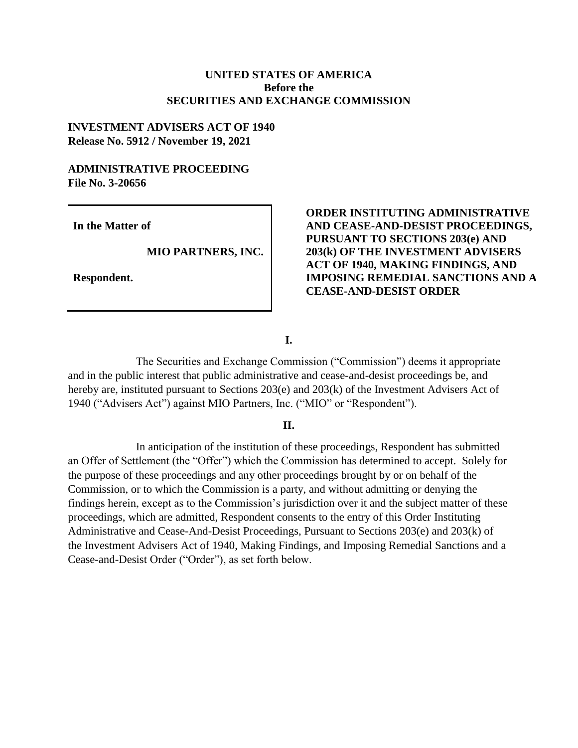#### **UNITED STATES OF AMERICA Before the SECURITIES AND EXCHANGE COMMISSION**

#### **INVESTMENT ADVISERS ACT OF 1940 Release No. 5912 / November 19, 2021**

## **ADMINISTRATIVE PROCEEDING File No. 3-20656**

**In the Matter of**

 **MIO PARTNERS, INC.**

**Respondent.** 

#### **ORDER INSTITUTING ADMINISTRATIVE AND CEASE-AND-DESIST PROCEEDINGS, PURSUANT TO SECTIONS 203(e) AND 203(k) OF THE INVESTMENT ADVISERS ACT OF 1940, MAKING FINDINGS, AND IMPOSING REMEDIAL SANCTIONS AND A CEASE-AND-DESIST ORDER**

**I.**

The Securities and Exchange Commission ("Commission") deems it appropriate and in the public interest that public administrative and cease-and-desist proceedings be, and hereby are, instituted pursuant to Sections 203(e) and 203(k) of the Investment Advisers Act of 1940 ("Advisers Act") against MIO Partners, Inc. ("MIO" or "Respondent").

#### **II.**

In anticipation of the institution of these proceedings, Respondent has submitted an Offer of Settlement (the "Offer") which the Commission has determined to accept. Solely for the purpose of these proceedings and any other proceedings brought by or on behalf of the Commission, or to which the Commission is a party, and without admitting or denying the findings herein, except as to the Commission's jurisdiction over it and the subject matter of these proceedings, which are admitted, Respondent consents to the entry of this Order Instituting Administrative and Cease-And-Desist Proceedings, Pursuant to Sections 203(e) and 203(k) of the Investment Advisers Act of 1940, Making Findings, and Imposing Remedial Sanctions and a Cease-and-Desist Order ("Order"), as set forth below.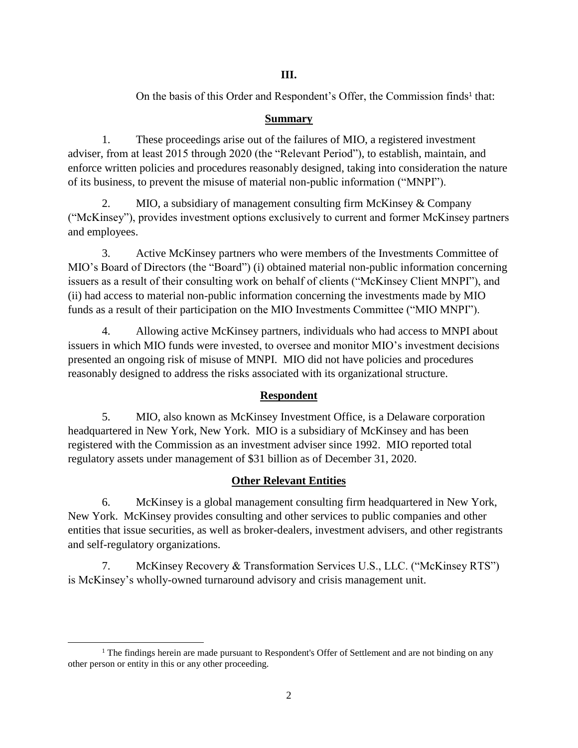## **III.**

On the basis of this Order and Respondent's Offer, the Commission finds<sup>1</sup> that:

## **Summary**

1. These proceedings arise out of the failures of MIO, a registered investment adviser, from at least 2015 through 2020 (the "Relevant Period"), to establish, maintain, and enforce written policies and procedures reasonably designed, taking into consideration the nature of its business, to prevent the misuse of material non-public information ("MNPI").

2. MIO, a subsidiary of management consulting firm McKinsey & Company ("McKinsey"), provides investment options exclusively to current and former McKinsey partners and employees.

3. Active McKinsey partners who were members of the Investments Committee of MIO's Board of Directors (the "Board") (i) obtained material non-public information concerning issuers as a result of their consulting work on behalf of clients ("McKinsey Client MNPI"), and (ii) had access to material non-public information concerning the investments made by MIO funds as a result of their participation on the MIO Investments Committee ("MIO MNPI").

4. Allowing active McKinsey partners, individuals who had access to MNPI about issuers in which MIO funds were invested, to oversee and monitor MIO's investment decisions presented an ongoing risk of misuse of MNPI. MIO did not have policies and procedures reasonably designed to address the risks associated with its organizational structure.

# **Respondent**

5. MIO, also known as McKinsey Investment Office, is a Delaware corporation headquartered in New York, New York. MIO is a subsidiary of McKinsey and has been registered with the Commission as an investment adviser since 1992. MIO reported total regulatory assets under management of \$31 billion as of December 31, 2020.

# **Other Relevant Entities**

6. McKinsey is a global management consulting firm headquartered in New York, New York. McKinsey provides consulting and other services to public companies and other entities that issue securities, as well as broker-dealers, investment advisers, and other registrants and self-regulatory organizations.

7. McKinsey Recovery & Transformation Services U.S., LLC. ("McKinsey RTS") is McKinsey's wholly-owned turnaround advisory and crisis management unit.

 $\overline{\phantom{a}}$  $<sup>1</sup>$  The findings herein are made pursuant to Respondent's Offer of Settlement and are not binding on any</sup> other person or entity in this or any other proceeding.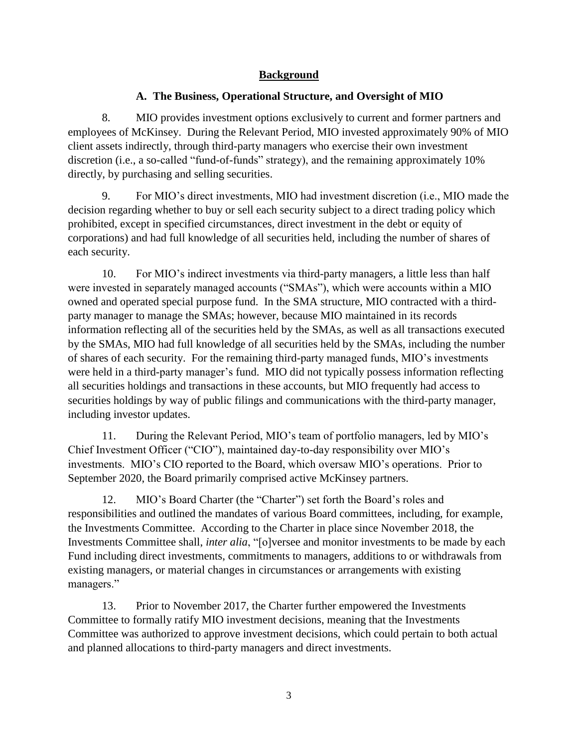## **Background**

## **A. The Business, Operational Structure, and Oversight of MIO**

8. MIO provides investment options exclusively to current and former partners and employees of McKinsey. During the Relevant Period, MIO invested approximately 90% of MIO client assets indirectly, through third-party managers who exercise their own investment discretion (i.e., a so-called "fund-of-funds" strategy), and the remaining approximately 10% directly, by purchasing and selling securities.

9. For MIO's direct investments, MIO had investment discretion (i.e., MIO made the decision regarding whether to buy or sell each security subject to a direct trading policy which prohibited, except in specified circumstances, direct investment in the debt or equity of corporations) and had full knowledge of all securities held, including the number of shares of each security.

10. For MIO's indirect investments via third-party managers, a little less than half were invested in separately managed accounts ("SMAs"), which were accounts within a MIO owned and operated special purpose fund. In the SMA structure, MIO contracted with a thirdparty manager to manage the SMAs; however, because MIO maintained in its records information reflecting all of the securities held by the SMAs, as well as all transactions executed by the SMAs, MIO had full knowledge of all securities held by the SMAs, including the number of shares of each security. For the remaining third-party managed funds, MIO's investments were held in a third-party manager's fund. MIO did not typically possess information reflecting all securities holdings and transactions in these accounts, but MIO frequently had access to securities holdings by way of public filings and communications with the third-party manager, including investor updates.

11. During the Relevant Period, MIO's team of portfolio managers, led by MIO's Chief Investment Officer ("CIO"), maintained day-to-day responsibility over MIO's investments. MIO's CIO reported to the Board, which oversaw MIO's operations. Prior to September 2020, the Board primarily comprised active McKinsey partners.

12. MIO's Board Charter (the "Charter") set forth the Board's roles and responsibilities and outlined the mandates of various Board committees, including, for example, the Investments Committee. According to the Charter in place since November 2018, the Investments Committee shall, *inter alia*, "[o]versee and monitor investments to be made by each Fund including direct investments, commitments to managers, additions to or withdrawals from existing managers, or material changes in circumstances or arrangements with existing managers."

13. Prior to November 2017, the Charter further empowered the Investments Committee to formally ratify MIO investment decisions, meaning that the Investments Committee was authorized to approve investment decisions, which could pertain to both actual and planned allocations to third-party managers and direct investments.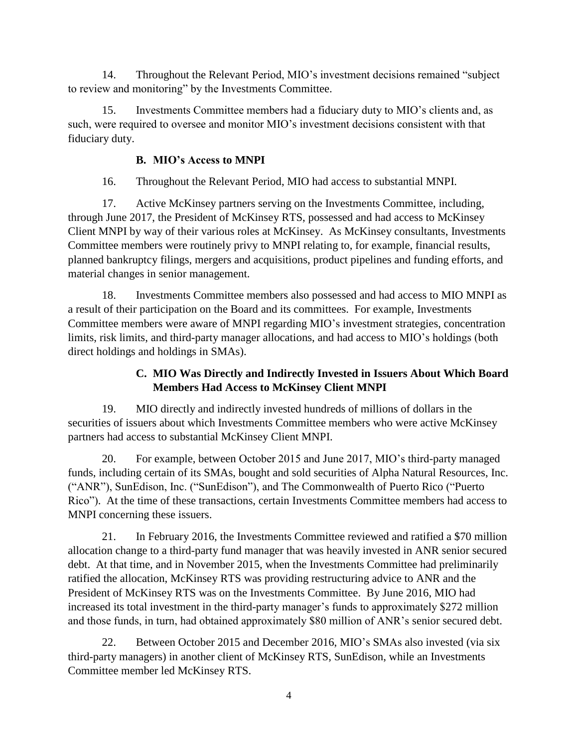14. Throughout the Relevant Period, MIO's investment decisions remained "subject to review and monitoring" by the Investments Committee.

15. Investments Committee members had a fiduciary duty to MIO's clients and, as such, were required to oversee and monitor MIO's investment decisions consistent with that fiduciary duty.

# **B. MIO's Access to MNPI**

16. Throughout the Relevant Period, MIO had access to substantial MNPI.

17. Active McKinsey partners serving on the Investments Committee, including, through June 2017, the President of McKinsey RTS, possessed and had access to McKinsey Client MNPI by way of their various roles at McKinsey. As McKinsey consultants, Investments Committee members were routinely privy to MNPI relating to, for example, financial results, planned bankruptcy filings, mergers and acquisitions, product pipelines and funding efforts, and material changes in senior management.

18. Investments Committee members also possessed and had access to MIO MNPI as a result of their participation on the Board and its committees. For example, Investments Committee members were aware of MNPI regarding MIO's investment strategies, concentration limits, risk limits, and third-party manager allocations, and had access to MIO's holdings (both direct holdings and holdings in SMAs).

# **C. MIO Was Directly and Indirectly Invested in Issuers About Which Board Members Had Access to McKinsey Client MNPI**

19. MIO directly and indirectly invested hundreds of millions of dollars in the securities of issuers about which Investments Committee members who were active McKinsey partners had access to substantial McKinsey Client MNPI.

20. For example, between October 2015 and June 2017, MIO's third-party managed funds, including certain of its SMAs, bought and sold securities of Alpha Natural Resources, Inc. ("ANR"), SunEdison, Inc. ("SunEdison"), and The Commonwealth of Puerto Rico ("Puerto Rico"). At the time of these transactions, certain Investments Committee members had access to MNPI concerning these issuers.

21. In February 2016, the Investments Committee reviewed and ratified a \$70 million allocation change to a third-party fund manager that was heavily invested in ANR senior secured debt. At that time, and in November 2015, when the Investments Committee had preliminarily ratified the allocation, McKinsey RTS was providing restructuring advice to ANR and the President of McKinsey RTS was on the Investments Committee. By June 2016, MIO had increased its total investment in the third-party manager's funds to approximately \$272 million and those funds, in turn, had obtained approximately \$80 million of ANR's senior secured debt.

22. Between October 2015 and December 2016, MIO's SMAs also invested (via six third-party managers) in another client of McKinsey RTS, SunEdison, while an Investments Committee member led McKinsey RTS.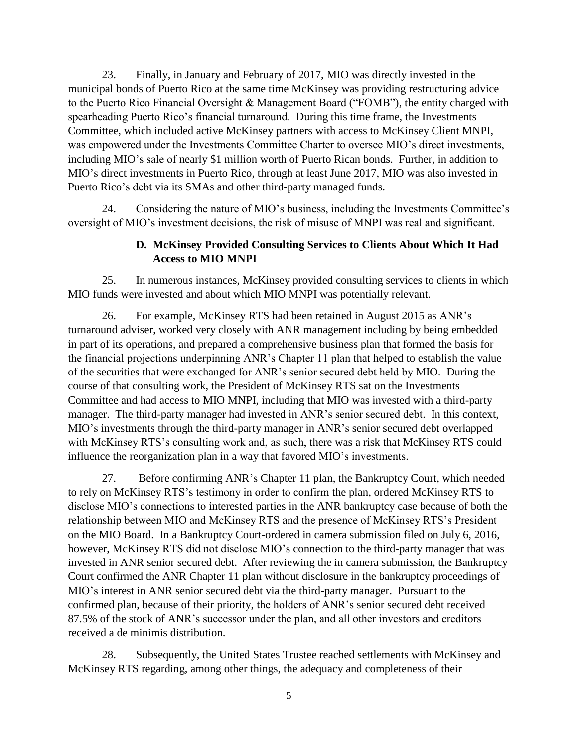23. Finally, in January and February of 2017, MIO was directly invested in the municipal bonds of Puerto Rico at the same time McKinsey was providing restructuring advice to the Puerto Rico Financial Oversight & Management Board ("FOMB"), the entity charged with spearheading Puerto Rico's financial turnaround. During this time frame, the Investments Committee, which included active McKinsey partners with access to McKinsey Client MNPI, was empowered under the Investments Committee Charter to oversee MIO's direct investments, including MIO's sale of nearly \$1 million worth of Puerto Rican bonds. Further, in addition to MIO's direct investments in Puerto Rico, through at least June 2017, MIO was also invested in Puerto Rico's debt via its SMAs and other third-party managed funds.

24. Considering the nature of MIO's business, including the Investments Committee's oversight of MIO's investment decisions, the risk of misuse of MNPI was real and significant.

## **D. McKinsey Provided Consulting Services to Clients About Which It Had Access to MIO MNPI**

25. In numerous instances, McKinsey provided consulting services to clients in which MIO funds were invested and about which MIO MNPI was potentially relevant.

26. For example, McKinsey RTS had been retained in August 2015 as ANR's turnaround adviser, worked very closely with ANR management including by being embedded in part of its operations, and prepared a comprehensive business plan that formed the basis for the financial projections underpinning ANR's Chapter 11 plan that helped to establish the value of the securities that were exchanged for ANR's senior secured debt held by MIO. During the course of that consulting work, the President of McKinsey RTS sat on the Investments Committee and had access to MIO MNPI, including that MIO was invested with a third-party manager. The third-party manager had invested in ANR's senior secured debt. In this context, MIO's investments through the third-party manager in ANR's senior secured debt overlapped with McKinsey RTS's consulting work and, as such, there was a risk that McKinsey RTS could influence the reorganization plan in a way that favored MIO's investments.

27. Before confirming ANR's Chapter 11 plan, the Bankruptcy Court, which needed to rely on McKinsey RTS's testimony in order to confirm the plan, ordered McKinsey RTS to disclose MIO's connections to interested parties in the ANR bankruptcy case because of both the relationship between MIO and McKinsey RTS and the presence of McKinsey RTS's President on the MIO Board. In a Bankruptcy Court-ordered in camera submission filed on July 6, 2016, however, McKinsey RTS did not disclose MIO's connection to the third-party manager that was invested in ANR senior secured debt. After reviewing the in camera submission, the Bankruptcy Court confirmed the ANR Chapter 11 plan without disclosure in the bankruptcy proceedings of MIO's interest in ANR senior secured debt via the third-party manager. Pursuant to the confirmed plan, because of their priority, the holders of ANR's senior secured debt received 87.5% of the stock of ANR's successor under the plan, and all other investors and creditors received a de minimis distribution.

28. Subsequently, the United States Trustee reached settlements with McKinsey and McKinsey RTS regarding, among other things, the adequacy and completeness of their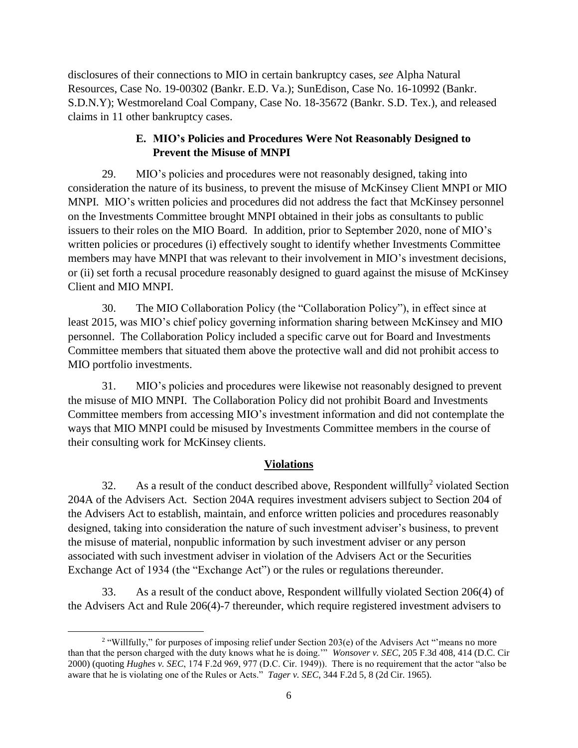disclosures of their connections to MIO in certain bankruptcy cases*, see* Alpha Natural Resources, Case No. 19-00302 (Bankr. E.D. Va.); SunEdison, Case No. 16-10992 (Bankr. S.D.N.Y); Westmoreland Coal Company, Case No. 18-35672 (Bankr. S.D. Tex.), and released claims in 11 other bankruptcy cases.

## **E. MIO's Policies and Procedures Were Not Reasonably Designed to Prevent the Misuse of MNPI**

29. MIO's policies and procedures were not reasonably designed, taking into consideration the nature of its business, to prevent the misuse of McKinsey Client MNPI or MIO MNPI. MIO's written policies and procedures did not address the fact that McKinsey personnel on the Investments Committee brought MNPI obtained in their jobs as consultants to public issuers to their roles on the MIO Board. In addition, prior to September 2020, none of MIO's written policies or procedures (i) effectively sought to identify whether Investments Committee members may have MNPI that was relevant to their involvement in MIO's investment decisions, or (ii) set forth a recusal procedure reasonably designed to guard against the misuse of McKinsey Client and MIO MNPI.

30. The MIO Collaboration Policy (the "Collaboration Policy"), in effect since at least 2015, was MIO's chief policy governing information sharing between McKinsey and MIO personnel. The Collaboration Policy included a specific carve out for Board and Investments Committee members that situated them above the protective wall and did not prohibit access to MIO portfolio investments.

31. MIO's policies and procedures were likewise not reasonably designed to prevent the misuse of MIO MNPI. The Collaboration Policy did not prohibit Board and Investments Committee members from accessing MIO's investment information and did not contemplate the ways that MIO MNPI could be misused by Investments Committee members in the course of their consulting work for McKinsey clients.

# **Violations**

32. As a result of the conduct described above, Respondent willfully<sup>2</sup> violated Section 204A of the Advisers Act. Section 204A requires investment advisers subject to Section 204 of the Advisers Act to establish, maintain, and enforce written policies and procedures reasonably designed, taking into consideration the nature of such investment adviser's business, to prevent the misuse of material, nonpublic information by such investment adviser or any person associated with such investment adviser in violation of the Advisers Act or the Securities Exchange Act of 1934 (the "Exchange Act") or the rules or regulations thereunder.

33. As a result of the conduct above, Respondent willfully violated Section 206(4) of the Advisers Act and Rule 206(4)-7 thereunder, which require registered investment advisers to

 $\overline{a}$ <sup>2</sup> "Willfully," for purposes of imposing relief under Section 203(e) of the Advisers Act "means no more than that the person charged with the duty knows what he is doing.'" *Wonsover v. SEC*, 205 F.3d 408, 414 (D.C. Cir 2000) (quoting *Hughes v. SEC*, 174 F.2d 969, 977 (D.C. Cir. 1949)). There is no requirement that the actor "also be aware that he is violating one of the Rules or Acts." *Tager v. SEC*, 344 F.2d 5, 8 (2d Cir. 1965).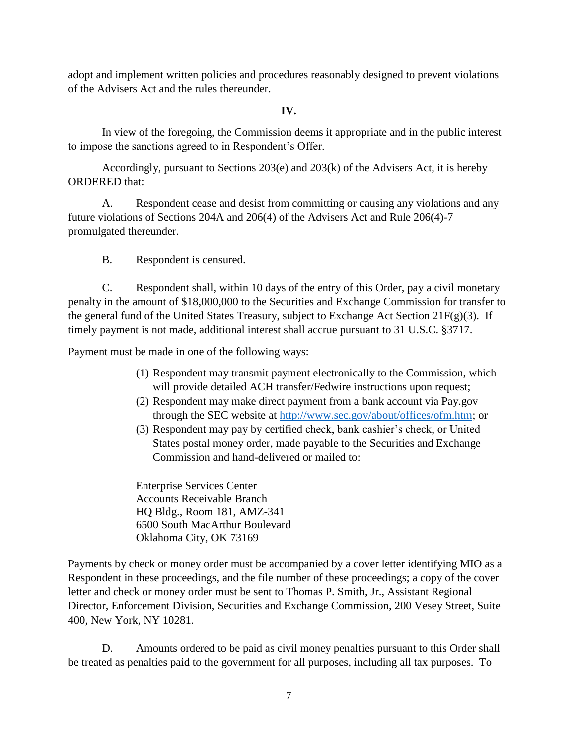adopt and implement written policies and procedures reasonably designed to prevent violations of the Advisers Act and the rules thereunder.

#### **IV.**

In view of the foregoing, the Commission deems it appropriate and in the public interest to impose the sanctions agreed to in Respondent's Offer.

Accordingly, pursuant to Sections 203(e) and 203(k) of the Advisers Act, it is hereby ORDERED that:

A. Respondent cease and desist from committing or causing any violations and any future violations of Sections 204A and 206(4) of the Advisers Act and Rule 206(4)-7 promulgated thereunder.

B. Respondent is censured.

C. Respondent shall, within 10 days of the entry of this Order, pay a civil monetary penalty in the amount of \$18,000,000 to the Securities and Exchange Commission for transfer to the general fund of the United States Treasury, subject to Exchange Act Section  $21F(g)(3)$ . If timely payment is not made, additional interest shall accrue pursuant to 31 U.S.C. §3717.

Payment must be made in one of the following ways:

- (1) Respondent may transmit payment electronically to the Commission, which will provide detailed ACH transfer/Fedwire instructions upon request;
- (2) Respondent may make direct payment from a bank account via Pay.gov through the SEC website at [http://www.sec.gov/about/offices/ofm.htm;](http://www.sec.gov/about/offices/ofm.htm) or
- (3) Respondent may pay by certified check, bank cashier's check, or United States postal money order, made payable to the Securities and Exchange Commission and hand-delivered or mailed to:

Enterprise Services Center Accounts Receivable Branch HQ Bldg., Room 181, AMZ-341 6500 South MacArthur Boulevard Oklahoma City, OK 73169

Payments by check or money order must be accompanied by a cover letter identifying MIO as a Respondent in these proceedings, and the file number of these proceedings; a copy of the cover letter and check or money order must be sent to Thomas P. Smith, Jr., Assistant Regional Director, Enforcement Division, Securities and Exchange Commission, 200 Vesey Street, Suite 400, New York, NY 10281.

D. Amounts ordered to be paid as civil money penalties pursuant to this Order shall be treated as penalties paid to the government for all purposes, including all tax purposes. To